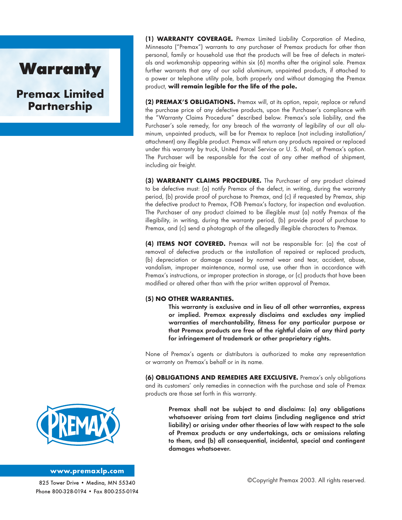## **Warranty**

**Premax Limited Partnership**

**(1) WARRANTY COVERAGE.** Premax Limited Liability Corporation of Medina, Minnesota ("Premax") warrants to any purchaser of Premax products for other than personal, family or household use that the products will be free of defects in materials and workmanship appearing within six (6) months after the original sale. Premax further warrants that any of our solid aluminum, unpainted products, if attached to a power or telephone utility pole, both properly and without damaging the Premax product, will remain legible for the life of the pole.

**(2) PREMAX'S OBLIGATIONS.** Premax will, at its option, repair, replace or refund the purchase price of any defective products, upon the Purchaser's compliance with the "Warranty Claims Procedure" described below. Premax's sole liability, and the Purchaser's sole remedy, for any breach of the warranty of legibility of our all aluminum, unpainted products, will be for Premax to replace (not including installation/ attachment) any illegible product. Premax will return any products repaired or replaced under this warranty by truck, United Parcel Service or U. S. Mail, at Premax's option. The Purchaser will be responsible for the cost of any other method of shipment, including air freight.

**(3) WARRANTY CLAIMS PROCEDURE.** The Purchaser of any product claimed to be defective must: (a) notify Premax of the defect, in writing, during the warranty period, (b) provide proof of purchase to Premax, and (c) if requested by Premax, ship the defective product to Premax, FOB Premax's factory, for inspection and evaluation. The Purchaser of any product claimed to be illegible must (a) notify Premax of the illegibility, in writing, during the warranty period, (b) provide proof of purchase to Premax, and (c) send a photograph of the allegedly illegible characters to Premax.

**(4) ITEMS NOT COVERED.** Premax will not be responsible for: (a) the cost of removal of defective products or the installation of repaired or replaced products, (b) depreciation or damage caused by normal wear and tear, accident, abuse, vandalism, improper maintenance, normal use, use other than in accordance with Premax's instructions, or improper protection in storage, or (c) products that have been modified or altered other than with the prior written approval of Premax.

#### **(5) NO OTHER WARRANTIES.**

This warranty is exclusive and in lieu of all other warranties, express or implied. Premax expressly disclaims and excludes any implied warranties of merchantability, fitness for any particular purpose or that Premax products are free of the rightful claim of any third party for infringement of trademark or other proprietary rights.

None of Premax's agents or distributors is authorized to make any representation or warranty on Premax's behalf or in its name.

**(6) OBLIGATIONS AND REMEDIES ARE EXCLUSIVE.** Premax's only obligations and its customers' only remedies in connection with the purchase and sale of Premax products are those set forth in this warranty.

> Premax shall not be subject to and disclaims: (a) any obligations whatsoever arising from tort claims (including negligence and strict liability) or arising under other theories of law with respect to the sale of Premax products or any undertakings, acts or omissions relating to them, and (b) all consequential, incidental, special and contingent damages whatsoever.



#### **www.premaxlp.com**

825 Tower Drive • Meding, MN 55340 Phone 800-328-0194 • Fax 800-255-0194